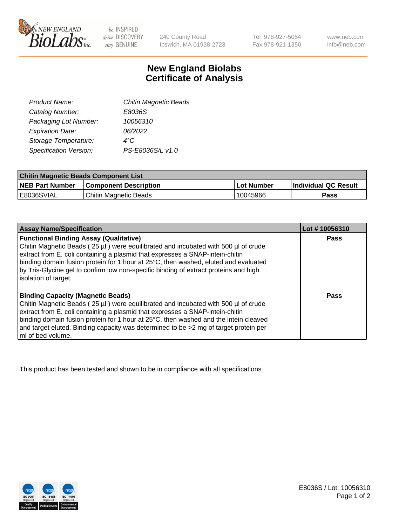

 $be$  INSPIRED drive DISCOVERY stay GENUINE

240 County Road Ipswich, MA 01938-2723

Tel 978-927-5054 Fax 978-921-1350 www.neb.com info@neb.com

## **New England Biolabs Certificate of Analysis**

| <b>Chitin Magnetic Beads</b> |
|------------------------------|
| E8036S                       |
| 10056310                     |
| 06/2022                      |
| 4°C                          |
| PS-E8036S/L v1.0             |
|                              |

| <b>Chitin Magnetic Beads Component List</b> |                              |            |                      |  |
|---------------------------------------------|------------------------------|------------|----------------------|--|
| <b>NEB Part Number</b>                      | <b>Component Description</b> | Lot Number | Individual QC Result |  |
| I E8036SVIAL                                | Chitin Magnetic Beads        | 10045966   | Pass                 |  |

| <b>Assay Name/Specification</b>                                                                                                                                                                                                                                                                                                                                                                                            | Lot #10056310 |
|----------------------------------------------------------------------------------------------------------------------------------------------------------------------------------------------------------------------------------------------------------------------------------------------------------------------------------------------------------------------------------------------------------------------------|---------------|
| <b>Functional Binding Assay (Qualitative)</b><br>Chitin Magnetic Beads (25 µl) were equilibrated and incubated with 500 µl of crude<br>extract from E. coli containing a plasmid that expresses a SNAP-intein-chitin<br>binding domain fusion protein for 1 hour at 25°C, then washed, eluted and evaluated<br>by Tris-Glycine gel to confirm low non-specific binding of extract proteins and high<br>solation of target. | <b>Pass</b>   |
| <b>Binding Capacity (Magnetic Beads)</b><br>Chitin Magnetic Beads (25 µl) were equilibrated and incubated with 500 µl of crude<br>extract from E. coli containing a plasmid that expresses a SNAP-intein-chitin<br>binding domain fusion protein for 1 hour at 25°C, then washed and the intein cleaved<br>and target eluted. Binding capacity was determined to be >2 mg of target protein per<br>ml of bed volume.       | Pass          |

This product has been tested and shown to be in compliance with all specifications.